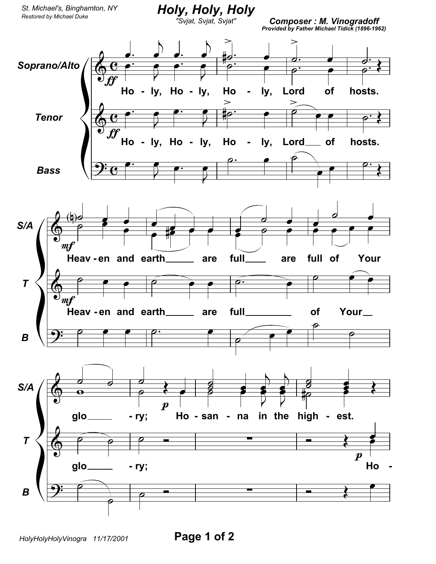